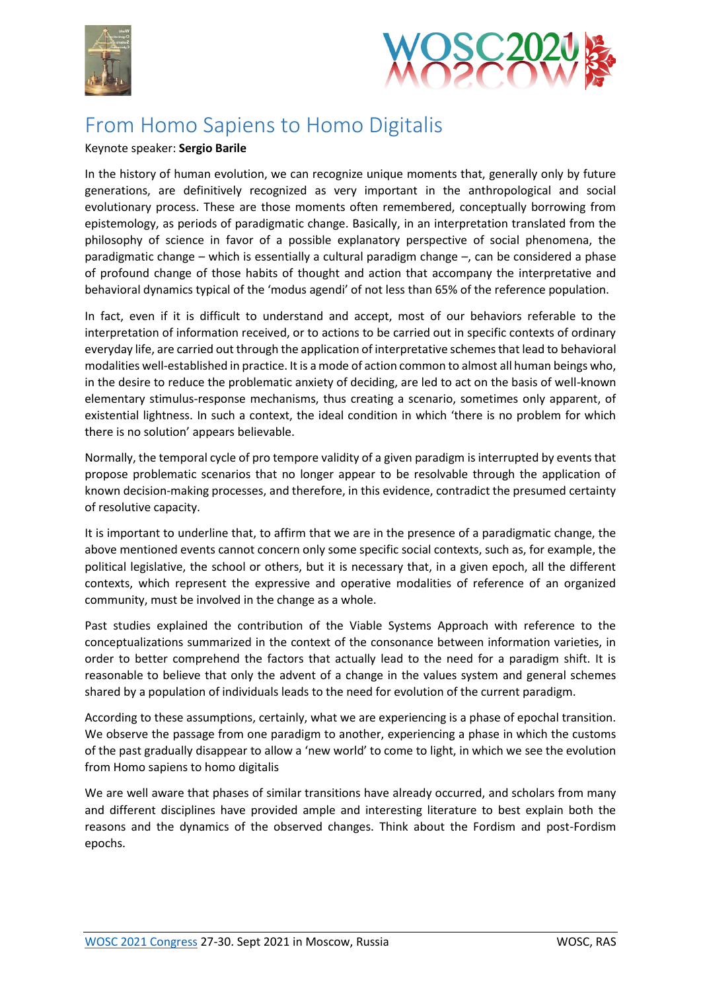



## From Homo Sapiens to Homo Digitalis

## Keynote speaker: **Sergio Barile**

In the history of human evolution, we can recognize unique moments that, generally only by future generations, are definitively recognized as very important in the anthropological and social evolutionary process. These are those moments often remembered, conceptually borrowing from epistemology, as periods of paradigmatic change. Basically, in an interpretation translated from the philosophy of science in favor of a possible explanatory perspective of social phenomena, the paradigmatic change – which is essentially a cultural paradigm change –, can be considered a phase of profound change of those habits of thought and action that accompany the interpretative and behavioral dynamics typical of the 'modus agendi' of not less than 65% of the reference population.

In fact, even if it is difficult to understand and accept, most of our behaviors referable to the interpretation of information received, or to actions to be carried out in specific contexts of ordinary everyday life, are carried out through the application of interpretative schemes that lead to behavioral modalities well-established in practice. It is a mode of action common to almost all human beings who, in the desire to reduce the problematic anxiety of deciding, are led to act on the basis of well-known elementary stimulus-response mechanisms, thus creating a scenario, sometimes only apparent, of existential lightness. In such a context, the ideal condition in which 'there is no problem for which there is no solution' appears believable.

Normally, the temporal cycle of pro tempore validity of a given paradigm is interrupted by events that propose problematic scenarios that no longer appear to be resolvable through the application of known decision-making processes, and therefore, in this evidence, contradict the presumed certainty of resolutive capacity.

It is important to underline that, to affirm that we are in the presence of a paradigmatic change, the above mentioned events cannot concern only some specific social contexts, such as, for example, the political legislative, the school or others, but it is necessary that, in a given epoch, all the different contexts, which represent the expressive and operative modalities of reference of an organized community, must be involved in the change as a whole.

Past studies explained the contribution of the Viable Systems Approach with reference to the conceptualizations summarized in the context of the consonance between information varieties, in order to better comprehend the factors that actually lead to the need for a paradigm shift. It is reasonable to believe that only the advent of a change in the values system and general schemes shared by a population of individuals leads to the need for evolution of the current paradigm.

According to these assumptions, certainly, what we are experiencing is a phase of epochal transition. We observe the passage from one paradigm to another, experiencing a phase in which the customs of the past gradually disappear to allow a 'new world' to come to light, in which we see the evolution from Homo sapiens to homo digitalis

We are well aware that phases of similar transitions have already occurred, and scholars from many and different disciplines have provided ample and interesting literature to best explain both the reasons and the dynamics of the observed changes. Think about the Fordism and post-Fordism epochs.